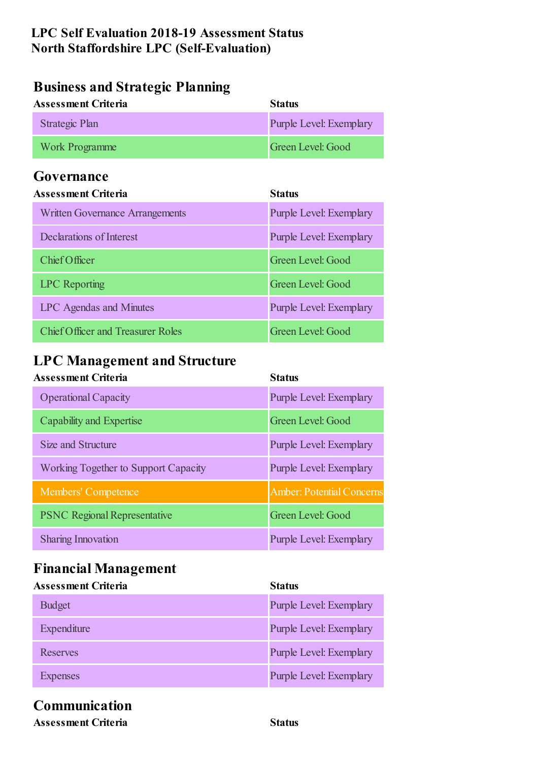#### **LPC Self Evaluation 2018-19 Assessment Status North Staffordshire LPC (Self-Evaluation)**

### **Business and Strategic Planning**

| <b>Assessment Criteria</b> | <b>Status</b>           |
|----------------------------|-------------------------|
| Strategic Plan             | Purple Level: Exemplary |
| <b>Work Programme</b>      | Green Level: Good       |

#### **Governance**

| <b>Assessment Criteria</b>               | <b>Status</b>                  |
|------------------------------------------|--------------------------------|
| <b>Written Governance Arrangements</b>   | <b>Purple Level: Exemplary</b> |
| Declarations of Interest                 | <b>Purple Level: Exemplary</b> |
| Chief Officer                            | Green Level: Good              |
| <b>LPC</b> Reporting                     | Green Level: Good              |
| <b>LPC</b> Agendas and Minutes           | <b>Purple Level: Exemplary</b> |
| <b>Chief Officer and Treasurer Roles</b> | Green Level: Good              |

### **LPC Management and Structure**

| <b>Assessment Criteria</b>                  | <b>Status</b>                    |
|---------------------------------------------|----------------------------------|
| <b>Operational Capacity</b>                 | <b>Purple Level: Exemplary</b>   |
| Capability and Expertise                    | Green Level: Good                |
| Size and Structure                          | <b>Purple Level: Exemplary</b>   |
| <b>Working Together to Support Capacity</b> | <b>Purple Level: Exemplary</b>   |
| <b>Members' Competence</b>                  | <b>Amber: Potential Concerns</b> |
| <b>PSNC Regional Representative</b>         | Green Level: Good                |
| <b>Sharing Innovation</b>                   | <b>Purple Level: Exemplary</b>   |

## **Financial Management**

| <b>Assessment Criteria</b> | <b>Status</b>                  |
|----------------------------|--------------------------------|
| <b>Budget</b>              | <b>Purple Level: Exemplary</b> |
| Expenditure                | <b>Purple Level: Exemplary</b> |
| Reserves                   | <b>Purple Level: Exemplary</b> |
| <b>Expenses</b>            | <b>Purple Level: Exemplary</b> |

### **Communication**

**Assessment Criteria Status**